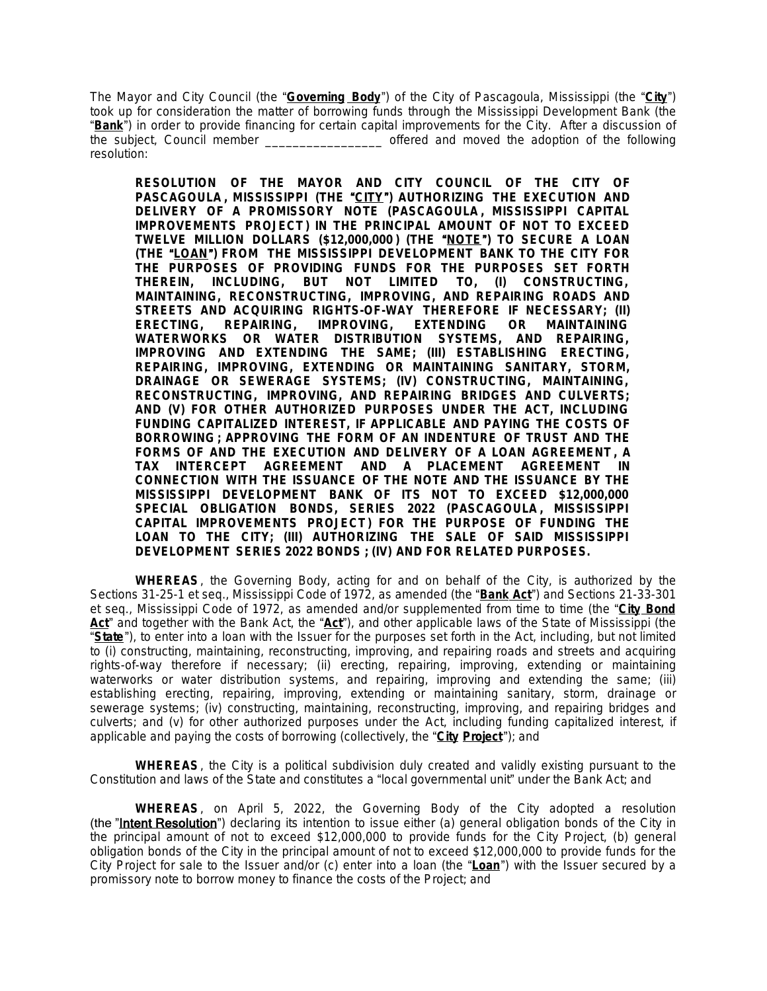The Mayor and City Council (the "**Governing Body**") of the City of Pascagoula, Mississippi (the "**City**") took up for consideration the matter of borrowing funds through the Mississippi Development Bank (the "**Bank**") in order to provide financing for certain capital improvements for the City. After a discussion of the subject, Council member  $\qquad \qquad$  offered and moved the adoption of the following resolution:

**RESOLUTION OF THE MAYOR AND CITY COUNCIL OF THE CITY OF PASCAGOULA , MISSISSIPPI (THE** "**CITY**"**) AUTHORIZING THE EXECUTION AND DELIVERY OF A PROMISSORY NOTE (PASCAGOULA , MISSISSIPPI CAPITAL IMPROVEMENTS PROJECT) IN THE PRINCIPAL AMOUNT OF NOT TO EXCEED TWELVE MILLION DOLLARS (\$12,000,000 ) (THE** "**NOTE**"**) TO SECURE A LOAN (THE** "**LOAN**"**) FROM THE MISSISSIPPI DEVELOPMENT BANK TO THE CITY FOR THE PURPOSES OF PROVIDING FUNDS FOR THE PURPOSES SET FORTH THEREIN, INCLUDING, BUT NOT LIMITED TO, (I) CONSTRUCTING, MAINTAINING, RECONSTRUCTING, IMPROVING, AND REPAIRING ROADS AND STREETS AND ACQUIRING RIGHTS-OF-WAY THEREFORE IF NECESSARY; (II) ERECTING, REPAIRING, IMPROVING, EXTENDING OR MAINTAINING WATERWORKS OR WATER DISTRIBUTION SYSTEMS, AND REPAIRING, IMPROVING AND EXTENDING THE SAME; (III) ESTABLISHING ERECTING, REPAIRING, IMPROVING, EXTENDING OR MAINTAINING SANITARY, STORM, DRAINAGE OR SEWERAGE SYSTEMS; (IV) CONSTRUCTING, MAINTAINING, RECONSTRUCTING, IMPROVING, AND REPAIRING BRIDGES AND CULVERTS; AND (V) FOR OTHER AUTHORIZED PURPOSES UNDER THE ACT, INCLUDING FUNDING CAPITALIZED INTEREST, IF APPLICABLE AND PAYING THE COSTS OF BORROWING ; APPROVING THE FORM OF AN INDENTURE OF TRUST AND THE FORMS OF AND THE EXECUTION AND DELIVERY OF A LOAN AGREEMENT , A TAX INTERCEPT AGREEMENT AND A PLACEMENT AGREEMENT IN CONNECTION WITH THE ISSUANCE OF THE NOTE AND THE ISSUANCE BY THE MISSISSIPPI DEVELOPMENT BANK OF ITS NOT TO EXCEED \$12,000,000 SPECIAL OBLIGATION BONDS, SERIES 2022 (PASCAGOULA , MISSISSIPPI CAPITAL IMPROVEMENTS PROJECT) FOR THE PURPOSE OF FUNDING THE LOAN TO THE CITY; (III) AUTHORIZING THE SALE OF SAID MISSISSIPPI DEVELOPMENT SERIES 2022 BONDS ; (IV) AND FOR RELATED PURPOSES.**

**WHEREAS**, the Governing Body, acting for and on behalf of the City, is authorized by the Sections 31-25-1 *et seq.*, Mississippi Code of 1972, as amended (the "**Bank Act**") and Sections 21-33-301 et seq., Mississippi Code of 1972, as amended and/or supplemented from time to time (the "**City Bond Act**" and together with the Bank Act, the "**Act**"), and other applicable laws of the State of Mississippi (the "**State**"), to enter into a loan with the Issuer for the purposes set forth in the Act, including, but not limited to (i) constructing, maintaining, reconstructing, improving, and repairing roads and streets and acquiring rights-of-way therefore if necessary; (ii) erecting, repairing, improving, extending or maintaining waterworks or water distribution systems, and repairing, improving and extending the same; (iii) establishing erecting, repairing, improving, extending or maintaining sanitary, storm, drainage or sewerage systems; (iv) constructing, maintaining, reconstructing, improving, and repairing bridges and culverts; and (v) for other authorized purposes under the Act, including funding capitalized interest, if applicable and paying the costs of borrowing (collectively, the "**City Project**"); and

**WHEREAS**, the City is a political subdivision duly created and validly existing pursuant to the Constitution and laws of the State and constitutes a "local governmental unit" under the Bank Act; and

**WHEREAS**, on April 5, 2022, the Governing Body of the City adopted a resolution (the "Intent Resolution") declaring its intention to issue either (a) general obligation bonds of the City in the principal amount of not to exceed \$12,000,000 to provide funds for the City Project, (b) general obligation bonds of the City in the principal amount of not to exceed \$12,000,000 to provide funds for the City Project for sale to the Issuer and/or (c) enter into a loan (the "**Loan**") with the Issuer secured by a promissory note to borrow money to finance the costs of the Project; and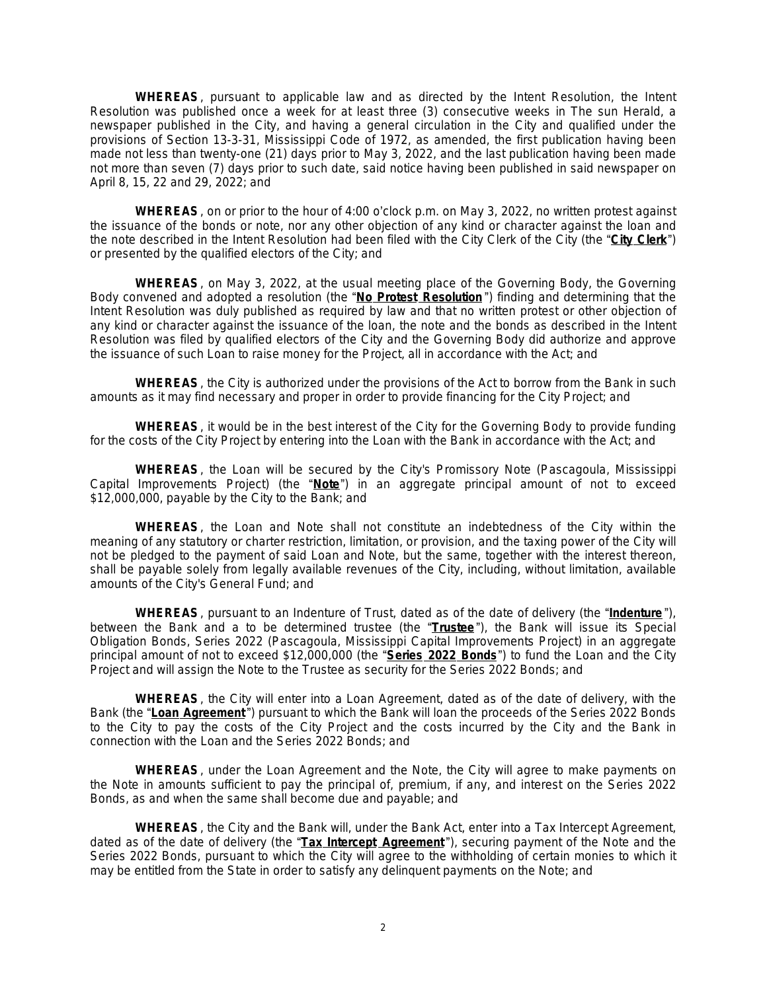**WHEREAS**, pursuant to applicable law and as directed by the Intent Resolution, the Intent Resolution was published once a week for at least three (3) consecutive weeks in *The sun Herald*, a newspaper published in the City, and having a general circulation in the City and qualified under the provisions of Section 13-3-31, Mississippi Code of 1972, as amended, the first publication having been made not less than twenty-one (21) days prior to May 3, 2022, and the last publication having been made not more than seven (7) days prior to such date, said notice having been published in said newspaper on April 8, 15, 22 and 29, 2022; and

**WHEREAS**, on or prior to the hour of 4:00 o'clock p.m. on May 3, 2022, no written protest against the issuance of the bonds or note, nor any other objection of any kind or character against the loan and the note described in the Intent Resolution had been filed with the City Clerk of the City (the "**City Clerk**") or presented by the qualified electors of the City; and

**WHEREAS**, on May 3, 2022, at the usual meeting place of the Governing Body, the Governing Body convened and adopted a resolution (the "**No Protest Resolution** ") finding and determining that the Intent Resolution was duly published as required by law and that no written protest or other objection of any kind or character against the issuance of the loan, the note and the bonds as described in the Intent Resolution was filed by qualified electors of the City and the Governing Body did authorize and approve the issuance of such Loan to raise money for the Project, all in accordance with the Act; and

**WHEREAS**, the City is authorized under the provisions of the Act to borrow from the Bank in such amounts as it may find necessary and proper in order to provide financing for the City Project; and

**WHEREAS**, it would be in the best interest of the City for the Governing Body to provide funding for the costs of the City Project by entering into the Loan with the Bank in accordance with the Act; and

**WHEREAS**, the Loan will be secured by the City's Promissory Note (Pascagoula, Mississippi Capital Improvements Project) (the "**Note**") in an aggregate principal amount of not to exceed \$12,000,000, payable by the City to the Bank; and

**WHEREAS**, the Loan and Note shall not constitute an indebtedness of the City within the meaning of any statutory or charter restriction, limitation, or provision, and the taxing power of the City will not be pledged to the payment of said Loan and Note, but the same, together with the interest thereon, shall be payable solely from legally available revenues of the City, including, without limitation, available amounts of the City's General Fund; and

**WHEREAS**, pursuant to an Indenture of Trust, dated as of the date of delivery (the "**Indenture** "), between the Bank and a to be determined trustee (the "**Trustee**"), the Bank will issue its Special Obligation Bonds, Series 2022 (Pascagoula, Mississippi Capital Improvements Project) in an aggregate principal amount of not to exceed \$12,000,000 (the "**Series 2022 Bonds**") to fund the Loan and the City Project and will assign the Note to the Trustee as security for the Series 2022 Bonds; and

**WHEREAS**, the City will enter into a Loan Agreement, dated as of the date of delivery, with the Bank (the "**Loan Agreement** ") pursuant to which the Bank will loan the proceeds of the Series 2022 Bonds to the City to pay the costs of the City Project and the costs incurred by the City and the Bank in connection with the Loan and the Series 2022 Bonds; and

**WHEREAS**, under the Loan Agreement and the Note, the City will agree to make payments on the Note in amounts sufficient to pay the principal of, premium, if any, and interest on the Series 2022 Bonds, as and when the same shall become due and payable; and

**WHEREAS**, the City and the Bank will, under the Bank Act, enter into a Tax Intercept Agreement, dated as of the date of delivery (the "**Tax Intercept Agreement** "), securing payment of the Note and the Series 2022 Bonds, pursuant to which the City will agree to the withholding of certain monies to which it may be entitled from the State in order to satisfy any delinquent payments on the Note; and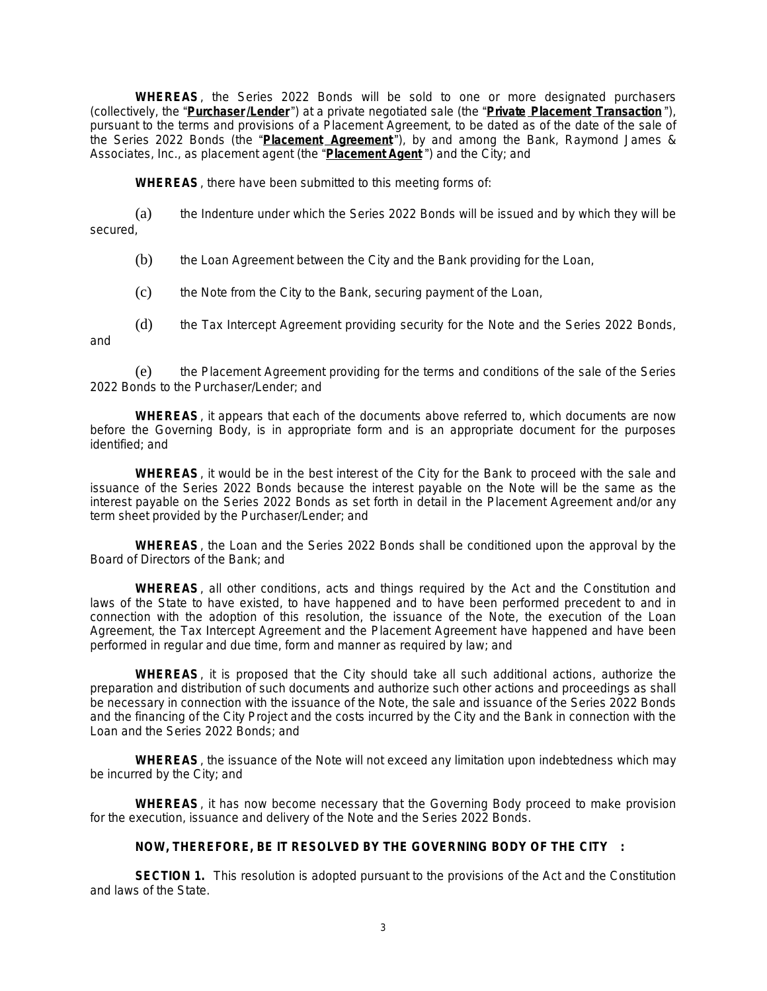**WHEREAS**, the Series 2022 Bonds will be sold to one or more designated purchasers (collectively, the "**Purchaser /Lender**") at a private negotiated sale (the "**Private Placement Transaction** "), pursuant to the terms and provisions of a Placement Agreement, to be dated as of the date of the sale of the Series 2022 Bonds (the "**Placement Agreement** "), by and among the Bank, Raymond James & Associates, Inc., as placement agent (the "**Placement Agent** ") and the City; and

**WHEREAS**, there have been submitted to this meeting forms of:

(a) the Indenture under which the Series 2022 Bonds will be issued and by which they will be secured,

- (b) the Loan Agreement between the City and the Bank providing for the Loan,
- (c) the Note from the City to the Bank, securing payment of the Loan,
- (d) the Tax Intercept Agreement providing security for the Note and the Series 2022 Bonds, and

(e) the Placement Agreement providing for the terms and conditions of the sale of the Series 2022 Bonds to the Purchaser/Lender; and

**WHEREAS**, it appears that each of the documents above referred to, which documents are now before the Governing Body, is in appropriate form and is an appropriate document for the purposes identified; and

**WHEREAS**, it would be in the best interest of the City for the Bank to proceed with the sale and issuance of the Series 2022 Bonds because the interest payable on the Note will be the same as the interest payable on the Series 2022 Bonds as set forth in detail in the Placement Agreement and/or any term sheet provided by the Purchaser/Lender; and

**WHEREAS**, the Loan and the Series 2022 Bonds shall be conditioned upon the approval by the Board of Directors of the Bank; and

**WHEREAS**, all other conditions, acts and things required by the Act and the Constitution and laws of the State to have existed, to have happened and to have been performed precedent to and in connection with the adoption of this resolution, the issuance of the Note, the execution of the Loan Agreement, the Tax Intercept Agreement and the Placement Agreement have happened and have been performed in regular and due time, form and manner as required by law; and

**WHEREAS**, it is proposed that the City should take all such additional actions, authorize the preparation and distribution of such documents and authorize such other actions and proceedings as shall be necessary in connection with the issuance of the Note, the sale and issuance of the Series 2022 Bonds and the financing of the City Project and the costs incurred by the City and the Bank in connection with the Loan and the Series 2022 Bonds; and

**WHEREAS**, the issuance of the Note will not exceed any limitation upon indebtedness which may be incurred by the City; and

**WHEREAS**, it has now become necessary that the Governing Body proceed to make provision for the execution, issuance and delivery of the Note and the Series 2022 Bonds.

#### **NOW, THEREFORE, BE IT RESOLVED BY THE GOVERNING BODY OF THE CITY :**

**SECTION 1.** This resolution is adopted pursuant to the provisions of the Act and the Constitution and laws of the State.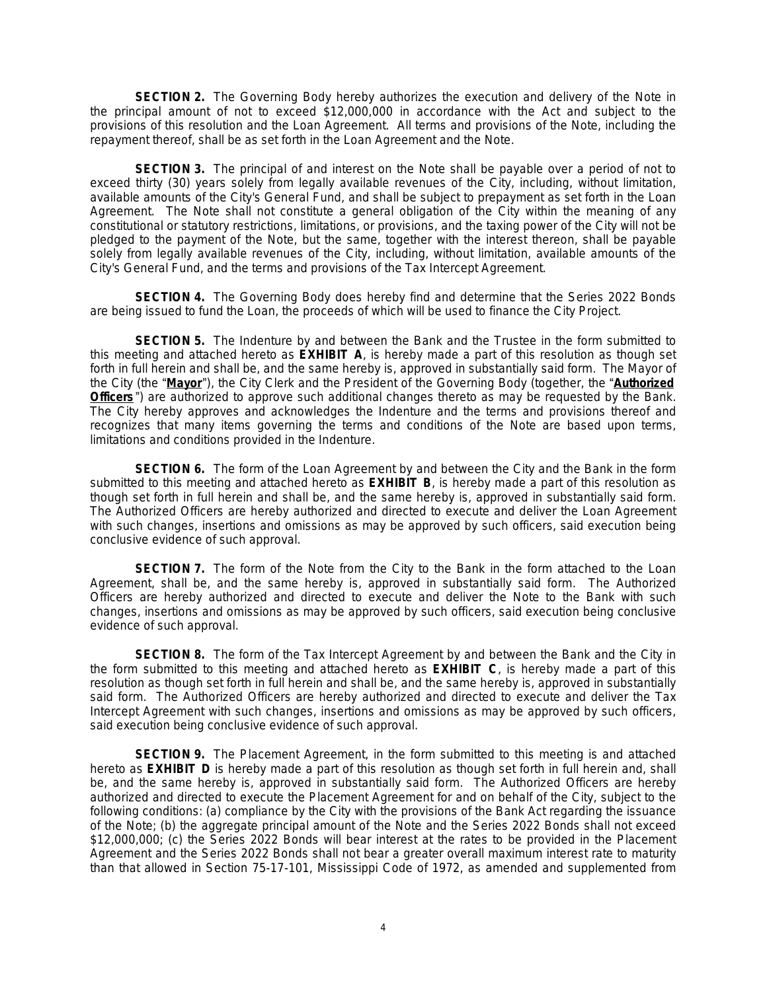**SECTION 2.** The Governing Body hereby authorizes the execution and delivery of the Note in the principal amount of not to exceed \$12,000,000 in accordance with the Act and subject to the provisions of this resolution and the Loan Agreement. All terms and provisions of the Note, including the repayment thereof, shall be as set forth in the Loan Agreement and the Note.

**SECTION 3.** The principal of and interest on the Note shall be payable over a period of not to exceed thirty (30) years solely from legally available revenues of the City, including, without limitation, available amounts of the City's General Fund, and shall be subject to prepayment as set forth in the Loan Agreement. The Note shall not constitute a general obligation of the City within the meaning of any constitutional or statutory restrictions, limitations, or provisions, and the taxing power of the City will not be pledged to the payment of the Note, but the same, together with the interest thereon, shall be payable solely from legally available revenues of the City, including, without limitation, available amounts of the City's General Fund, and the terms and provisions of the Tax Intercept Agreement.

**SECTION 4.** The Governing Body does hereby find and determine that the Series 2022 Bonds are being issued to fund the Loan, the proceeds of which will be used to finance the City Project.

**SECTION 5.** The Indenture by and between the Bank and the Trustee in the form submitted to this meeting and attached hereto as **EXHIBIT A**, is hereby made a part of this resolution as though set forth in full herein and shall be, and the same hereby is, approved in substantially said form. The Mayor of the City (the "**Mayor**"), the City Clerk and the President of the Governing Body (together, the "**Authorized Officers**") are authorized to approve such additional changes thereto as may be requested by the Bank. The City hereby approves and acknowledges the Indenture and the terms and provisions thereof and recognizes that many items governing the terms and conditions of the Note are based upon terms, limitations and conditions provided in the Indenture.

**SECTION 6.** The form of the Loan Agreement by and between the City and the Bank in the form submitted to this meeting and attached hereto as **EXHIBIT B**, is hereby made a part of this resolution as though set forth in full herein and shall be, and the same hereby is, approved in substantially said form. The Authorized Officers are hereby authorized and directed to execute and deliver the Loan Agreement with such changes, insertions and omissions as may be approved by such officers, said execution being conclusive evidence of such approval.

**SECTION 7.** The form of the Note from the City to the Bank in the form attached to the Loan Agreement, shall be, and the same hereby is, approved in substantially said form. The Authorized Officers are hereby authorized and directed to execute and deliver the Note to the Bank with such changes, insertions and omissions as may be approved by such officers, said execution being conclusive evidence of such approval.

**SECTION 8.** The form of the Tax Intercept Agreement by and between the Bank and the City in the form submitted to this meeting and attached hereto as **EXHIBIT C**, is hereby made a part of this resolution as though set forth in full herein and shall be, and the same hereby is, approved in substantially said form. The Authorized Officers are hereby authorized and directed to execute and deliver the Tax Intercept Agreement with such changes, insertions and omissions as may be approved by such officers, said execution being conclusive evidence of such approval.

**SECTION 9.** The Placement Agreement, in the form submitted to this meeting is and attached hereto as **EXHIBIT D** is hereby made a part of this resolution as though set forth in full herein and, shall be, and the same hereby is, approved in substantially said form. The Authorized Officers are hereby authorized and directed to execute the Placement Agreement for and on behalf of the City, subject to the following conditions: (a) compliance by the City with the provisions of the Bank Act regarding the issuance of the Note; (b) the aggregate principal amount of the Note and the Series 2022 Bonds shall not exceed \$12,000,000; (c) the Series 2022 Bonds will bear interest at the rates to be provided in the Placement Agreement and the Series 2022 Bonds shall not bear a greater overall maximum interest rate to maturity than that allowed in Section 75-17-101, Mississippi Code of 1972, as amended and supplemented from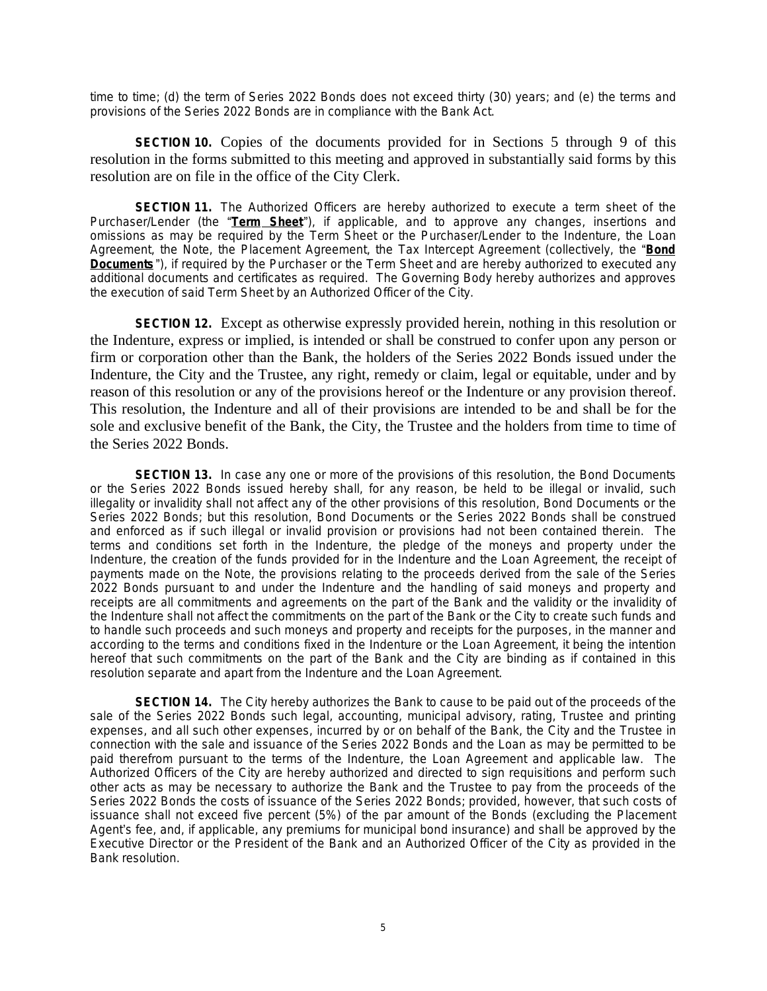time to time; (d) the term of Series 2022 Bonds does not exceed thirty (30) years; and (e) the terms and provisions of the Series 2022 Bonds are in compliance with the Bank Act.

**SECTION 10.** Copies of the documents provided for in Sections 5 through 9 of this resolution in the forms submitted to this meeting and approved in substantially said forms by this resolution are on file in the office of the City Clerk.

**SECTION 11.** The Authorized Officers are hereby authorized to execute a term sheet of the Purchaser/Lender (the "**Term Sheet**"), if applicable, and to approve any changes, insertions and omissions as may be required by the Term Sheet or the Purchaser/Lender to the Indenture, the Loan Agreement, the Note, the Placement Agreement, the Tax Intercept Agreement (collectively, the "**Bond Documents**"), if required by the Purchaser or the Term Sheet and are hereby authorized to executed any additional documents and certificates as required. The Governing Body hereby authorizes and approves the execution of said Term Sheet by an Authorized Officer of the City.

**SECTION 12.** Except as otherwise expressly provided herein, nothing in this resolution or the Indenture, express or implied, is intended or shall be construed to confer upon any person or firm or corporation other than the Bank, the holders of the Series 2022 Bonds issued under the Indenture, the City and the Trustee, any right, remedy or claim, legal or equitable, under and by reason of this resolution or any of the provisions hereof or the Indenture or any provision thereof. This resolution, the Indenture and all of their provisions are intended to be and shall be for the sole and exclusive benefit of the Bank, the City, the Trustee and the holders from time to time of the Series 2022 Bonds.

**SECTION 13.** In case any one or more of the provisions of this resolution, the Bond Documents or the Series 2022 Bonds issued hereby shall, for any reason, be held to be illegal or invalid, such illegality or invalidity shall not affect any of the other provisions of this resolution, Bond Documents or the Series 2022 Bonds; but this resolution, Bond Documents or the Series 2022 Bonds shall be construed and enforced as if such illegal or invalid provision or provisions had not been contained therein. The terms and conditions set forth in the Indenture, the pledge of the moneys and property under the Indenture, the creation of the funds provided for in the Indenture and the Loan Agreement, the receipt of payments made on the Note, the provisions relating to the proceeds derived from the sale of the Series 2022 Bonds pursuant to and under the Indenture and the handling of said moneys and property and receipts are all commitments and agreements on the part of the Bank and the validity or the invalidity of the Indenture shall not affect the commitments on the part of the Bank or the City to create such funds and to handle such proceeds and such moneys and property and receipts for the purposes, in the manner and according to the terms and conditions fixed in the Indenture or the Loan Agreement, it being the intention hereof that such commitments on the part of the Bank and the City are binding as if contained in this resolution separate and apart from the Indenture and the Loan Agreement.

**SECTION 14.** The City hereby authorizes the Bank to cause to be paid out of the proceeds of the sale of the Series 2022 Bonds such legal, accounting, municipal advisory, rating, Trustee and printing expenses, and all such other expenses, incurred by or on behalf of the Bank, the City and the Trustee in connection with the sale and issuance of the Series 2022 Bonds and the Loan as may be permitted to be paid therefrom pursuant to the terms of the Indenture, the Loan Agreement and applicable law. The Authorized Officers of the City are hereby authorized and directed to sign requisitions and perform such other acts as may be necessary to authorize the Bank and the Trustee to pay from the proceeds of the Series 2022 Bonds the costs of issuance of the Series 2022 Bonds; provided, however, that such costs of issuance shall not exceed five percent (5%) of the par amount of the Bonds (excluding the Placement Agent's fee, and, if applicable, any premiums for municipal bond insurance) and shall be approved by the Executive Director or the President of the Bank and an Authorized Officer of the City as provided in the Bank resolution.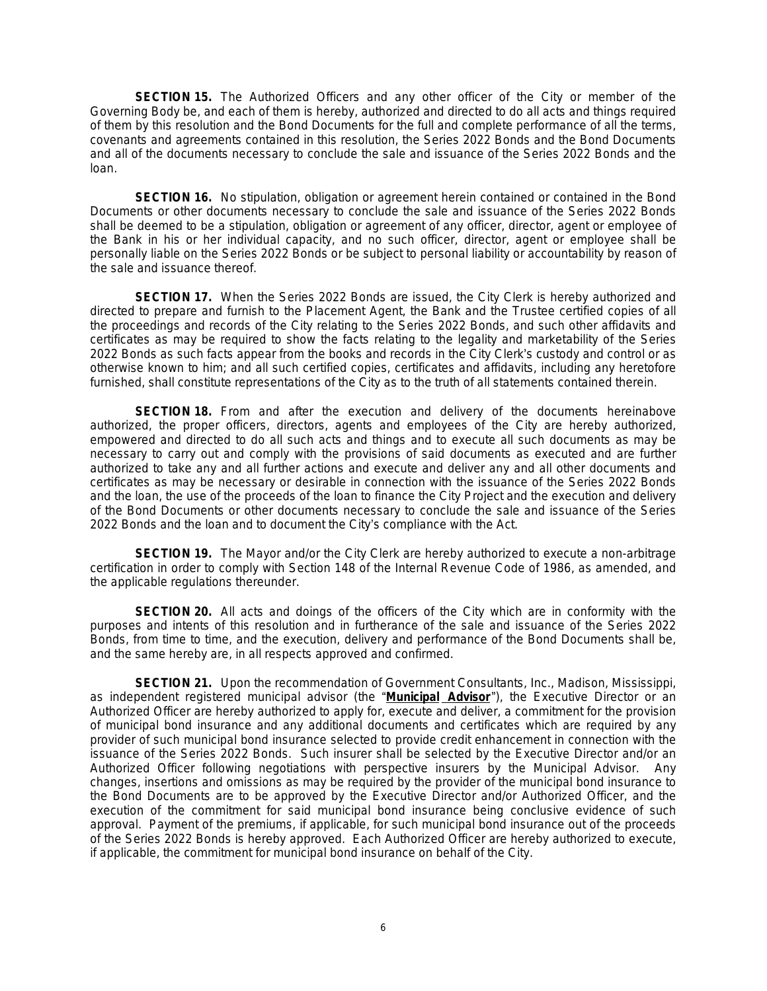**SECTION 15.** The Authorized Officers and any other officer of the City or member of the Governing Body be, and each of them is hereby, authorized and directed to do all acts and things required of them by this resolution and the Bond Documents for the full and complete performance of all the terms, covenants and agreements contained in this resolution, the Series 2022 Bonds and the Bond Documents and all of the documents necessary to conclude the sale and issuance of the Series 2022 Bonds and the loan.

**SECTION 16.** No stipulation, obligation or agreement herein contained or contained in the Bond Documents or other documents necessary to conclude the sale and issuance of the Series 2022 Bonds shall be deemed to be a stipulation, obligation or agreement of any officer, director, agent or employee of the Bank in his or her individual capacity, and no such officer, director, agent or employee shall be personally liable on the Series 2022 Bonds or be subject to personal liability or accountability by reason of the sale and issuance thereof.

**SECTION 17.** When the Series 2022 Bonds are issued, the City Clerk is hereby authorized and directed to prepare and furnish to the Placement Agent, the Bank and the Trustee certified copies of all the proceedings and records of the City relating to the Series 2022 Bonds, and such other affidavits and certificates as may be required to show the facts relating to the legality and marketability of the Series 2022 Bonds as such facts appear from the books and records in the City Clerk's custody and control or as otherwise known to him; and all such certified copies, certificates and affidavits, including any heretofore furnished, shall constitute representations of the City as to the truth of all statements contained therein.

**SECTION 18.** From and after the execution and delivery of the documents hereinabove authorized, the proper officers, directors, agents and employees of the City are hereby authorized, empowered and directed to do all such acts and things and to execute all such documents as may be necessary to carry out and comply with the provisions of said documents as executed and are further authorized to take any and all further actions and execute and deliver any and all other documents and certificates as may be necessary or desirable in connection with the issuance of the Series 2022 Bonds and the loan, the use of the proceeds of the loan to finance the City Project and the execution and delivery of the Bond Documents or other documents necessary to conclude the sale and issuance of the Series 2022 Bonds and the loan and to document the City's compliance with the Act.

**SECTION 19.** The Mayor and/or the City Clerk are hereby authorized to execute a non-arbitrage certification in order to comply with Section 148 of the Internal Revenue Code of 1986, as amended, and the applicable regulations thereunder.

**SECTION 20.** All acts and doings of the officers of the City which are in conformity with the purposes and intents of this resolution and in furtherance of the sale and issuance of the Series 2022 Bonds, from time to time, and the execution, delivery and performance of the Bond Documents shall be, and the same hereby are, in all respects approved and confirmed.

**SECTION 21.** Upon the recommendation of Government Consultants, Inc., Madison, Mississippi, as independent registered municipal advisor (the "**Municipal Advisor**"), the Executive Director or an Authorized Officer are hereby authorized to apply for, execute and deliver, a commitment for the provision of municipal bond insurance and any additional documents and certificates which are required by any provider of such municipal bond insurance selected to provide credit enhancement in connection with the issuance of the Series 2022 Bonds. Such insurer shall be selected by the Executive Director and/or an Authorized Officer following negotiations with perspective insurers by the Municipal Advisor. Any changes, insertions and omissions as may be required by the provider of the municipal bond insurance to the Bond Documents are to be approved by the Executive Director and/or Authorized Officer, and the execution of the commitment for said municipal bond insurance being conclusive evidence of such approval. Payment of the premiums, if applicable, for such municipal bond insurance out of the proceeds of the Series 2022 Bonds is hereby approved. Each Authorized Officer are hereby authorized to execute, if applicable, the commitment for municipal bond insurance on behalf of the City.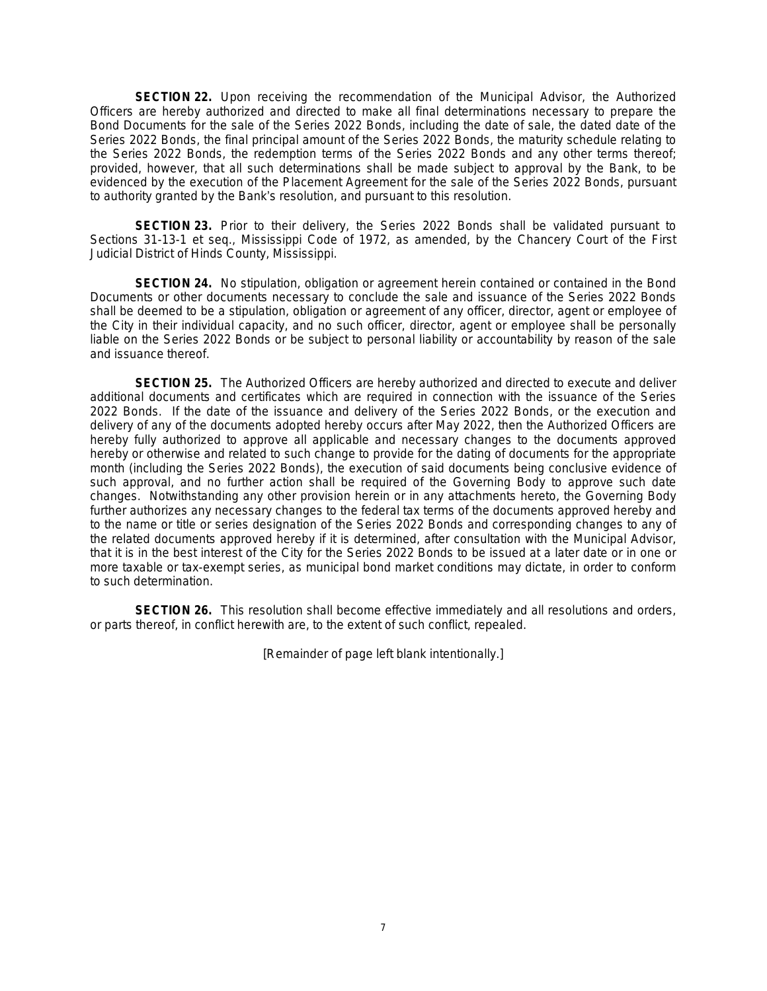**SECTION 22.** Upon receiving the recommendation of the Municipal Advisor, the Authorized Officers are hereby authorized and directed to make all final determinations necessary to prepare the Bond Documents for the sale of the Series 2022 Bonds, including the date of sale, the dated date of the Series 2022 Bonds, the final principal amount of the Series 2022 Bonds, the maturity schedule relating to the Series 2022 Bonds, the redemption terms of the Series 2022 Bonds and any other terms thereof; provided, however, that all such determinations shall be made subject to approval by the Bank, to be evidenced by the execution of the Placement Agreement for the sale of the Series 2022 Bonds, pursuant to authority granted by the Bank's resolution, and pursuant to this resolution.

**SECTION 23.** Prior to their delivery, the Series 2022 Bonds shall be validated pursuant to Sections 31-13-1 *et seq*., Mississippi Code of 1972, as amended, by the Chancery Court of the First Judicial District of Hinds County, Mississippi.

**SECTION 24.** No stipulation, obligation or agreement herein contained or contained in the Bond Documents or other documents necessary to conclude the sale and issuance of the Series 2022 Bonds shall be deemed to be a stipulation, obligation or agreement of any officer, director, agent or employee of the City in their individual capacity, and no such officer, director, agent or employee shall be personally liable on the Series 2022 Bonds or be subject to personal liability or accountability by reason of the sale and issuance thereof.

**SECTION 25.** The Authorized Officers are hereby authorized and directed to execute and deliver additional documents and certificates which are required in connection with the issuance of the Series 2022 Bonds. If the date of the issuance and delivery of the Series 2022 Bonds, or the execution and delivery of any of the documents adopted hereby occurs after May 2022, then the Authorized Officers are hereby fully authorized to approve all applicable and necessary changes to the documents approved hereby or otherwise and related to such change to provide for the dating of documents for the appropriate month (including the Series 2022 Bonds), the execution of said documents being conclusive evidence of such approval, and no further action shall be required of the Governing Body to approve such date changes. Notwithstanding any other provision herein or in any attachments hereto, the Governing Body further authorizes any necessary changes to the federal tax terms of the documents approved hereby and to the name or title or series designation of the Series 2022 Bonds and corresponding changes to any of the related documents approved hereby if it is determined, after consultation with the Municipal Advisor, that it is in the best interest of the City for the Series 2022 Bonds to be issued at a later date or in one or more taxable or tax-exempt series, as municipal bond market conditions may dictate, in order to conform to such determination.

**SECTION 26.** This resolution shall become effective immediately and all resolutions and orders, or parts thereof, in conflict herewith are, to the extent of such conflict, repealed.

[Remainder of page left blank intentionally.]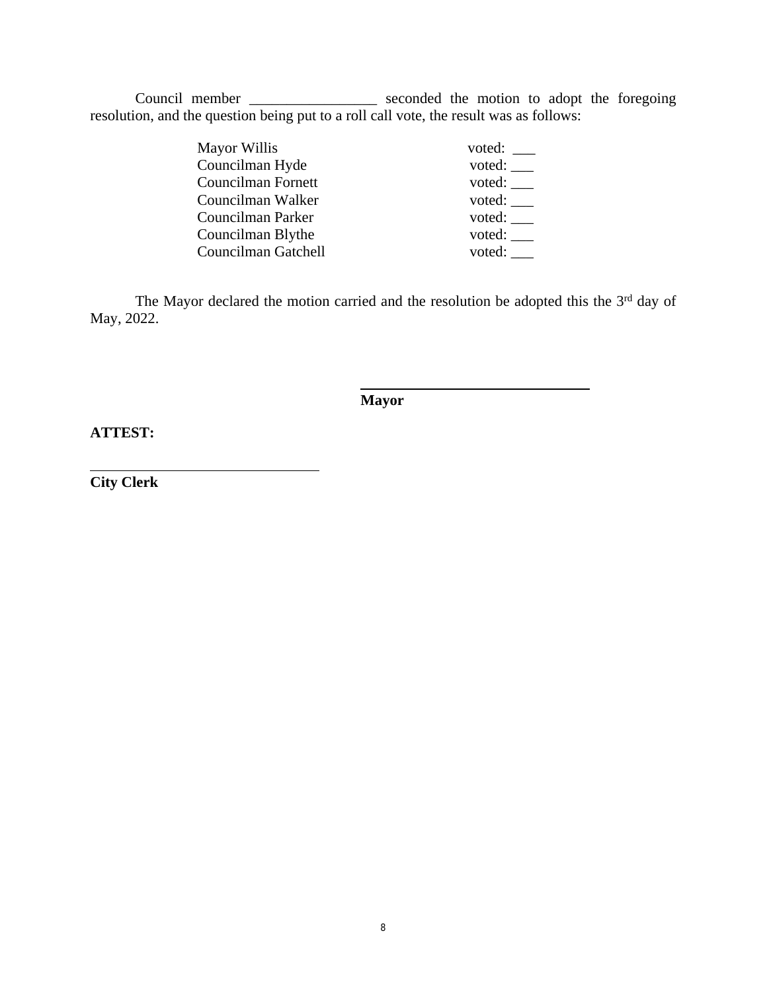Council member \_\_\_\_\_\_\_\_\_\_\_\_\_\_\_\_\_ seconded the motion to adopt the foregoing resolution, and the question being put to a roll call vote, the result was as follows:

| Mayor Willis        | voted: |
|---------------------|--------|
| Councilman Hyde     | voted: |
| Councilman Fornett  | voted: |
| Councilman Walker   | voted: |
| Councilman Parker   | voted: |
| Councilman Blythe   | voted: |
| Councilman Gatchell | voted: |

The Mayor declared the motion carried and the resolution be adopted this the 3<sup>rd</sup> day of May, 2022.

# **Mayor**

 $\overline{a}$ 

**ATTEST:**

**City Clerk**

 $\overline{a}$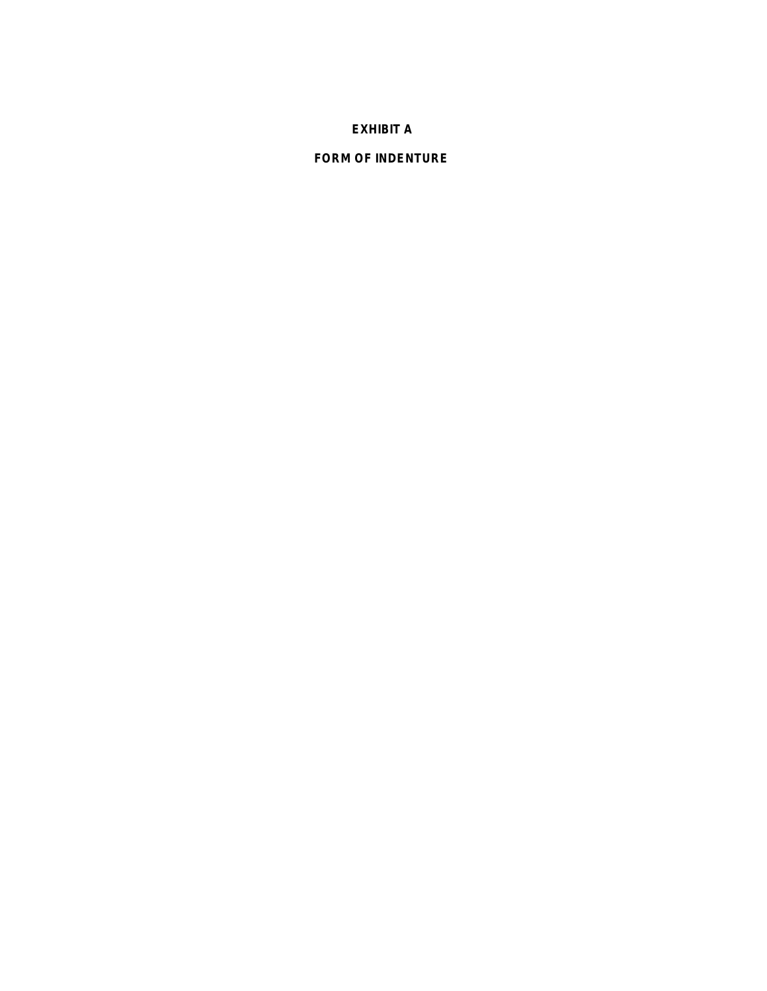## **EXHIBIT A**

## **FORM OF INDENTURE**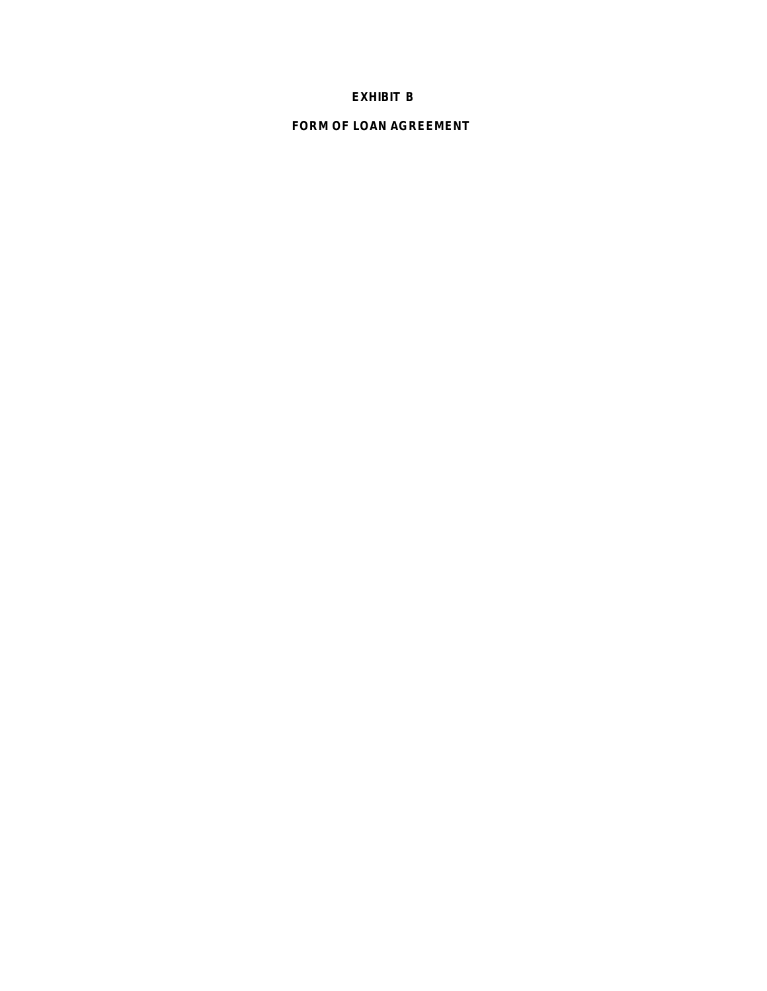### **EXHIBIT B**

**FORM OF LOAN AGREEMENT**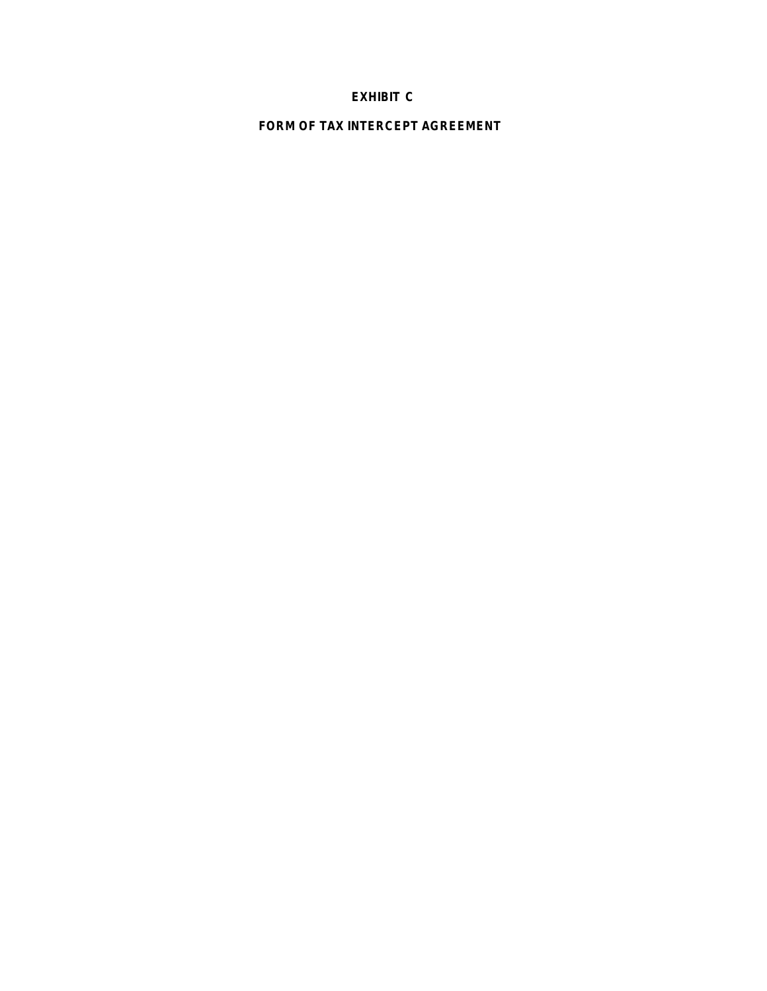# **EXHIBIT C**

**FORM OF TAX INTERCEPT AGREEMENT**